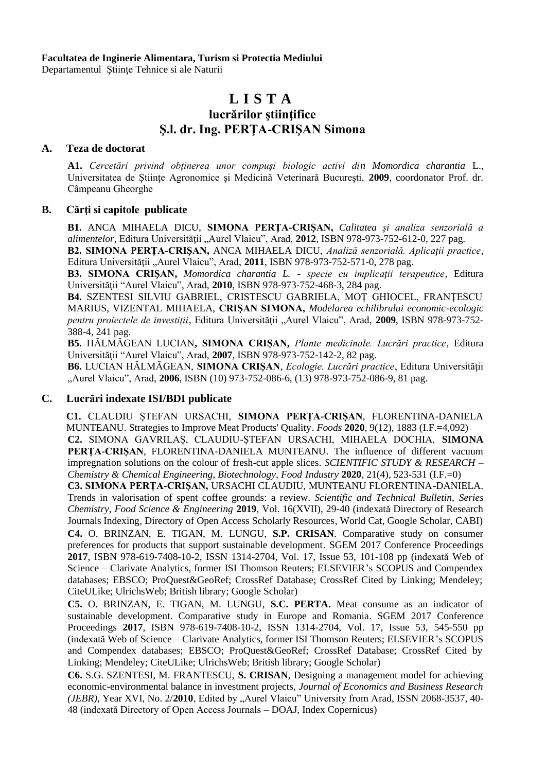**Facultatea de Inginerie Alimentara, Turism si Protectia Mediului**

Departamentul Stiinte Tehnice si ale Naturii

# **L I S T A**

## **lucrărilor ştiinţifice Ş.l. dr. Ing. PERŢA-CRIŞAN Simona**

#### **A. Teza de doctorat**

**A1.** *Cercetări privind obţinerea unor compuşi biologic activi din Momordica charantia* L., Universitatea de Ştiinţe Agronomice şi Medicină Veterinară Bucureşti, **2009**, coordonator Prof. dr. Câmpeanu Gheorghe

#### **B. Cărţi si capitole publicate**

**B1.** ANCA MIHAELA DICU, **SIMONA PERŢA-CRIŞAN,** *Calitatea şi analiza senzorială a alimentelor*, Editura Universității "Aurel Vlaicu", Arad, 2012, ISBN 978-973-752-612-0, 227 pag.

**B2. SIMONA PERŢA-CRIŞAN,** ANCA MIHAELA DICU, *Analiză senzorială. Aplicaţii practice*, Editura Universității "Aurel Vlaicu", Arad, 2011, ISBN 978-973-752-571-0, 278 pag.

**B3. SIMONA CRIŞAN,** *Momordica charantia L.* - *specie cu implicaţii terapeutice*, Editura Universităţii "Aurel Vlaicu", Arad, **2010**, ISBN 978-973-752-468-3, 284 pag.

**B4.** SZENTESI SILVIU GABRIEL, CRISTESCU GABRIELA, MOŢ GHIOCEL, FRANŢESCU MARIUS, VIZENTAL MIHAELA, **CRIŞAN SIMONA,** *Modelarea echilibrului economic-ecologic pentru proiectele de investiţii*, Editura Universităţii "Aurel Vlaicu", Arad, **2009**, ISBN 978-973-752- 388-4, 241 pag.

**B5.** HĂLMĂGEAN LUCIAN**, SIMONA CRIŞAN,** *Plante medicinale. Lucrări practice*, Editura Universităţii "Aurel Vlaicu", Arad, **2007**, ISBN 978-973-752-142-2, 82 pag.

**B6.** LUCIAN HĂLMĂGEAN, SIMONA CRISAN, *Ecologie. Lucrări practice*, Editura Universității "Aurel Vlaicu", Arad, **2006**, ISBN (10) 973-752-086-6, (13) 978-973-752-086-9, 81 pag.

### **C. Lucrări indexate ISI/BDI publicate**

**C1.** CLAUDIU ȘTEFAN URSACHI, **SIMONA PERȚA-CRIȘAN**, FLORENTINA-DANIELA MUNTEANU. [Strategies to Improve Meat Products' Quality.](https://www.mdpi.com/2304-8158/9/12/1883?utm_source=releaseissue&utm_medium=email&utm_campaign=releaseissue_foods&utm_term=titlelink40) *Foods* **2020**, 9(12), 1883 (I.F.=4,092) **C2.** SIMONA GAVRILAȘ, CLAUDIU-ȘTEFAN URSACHI, MIHAELA DOCHIA, **SIMONA PERȚA-CRIȘAN**, FLORENTINA-DANIELA MUNTEANU. The influence of different vacuum impregnation solutions on the colour of fresh-cut apple slices. *SCIENTIFIC STUDY & RESEARCH – Chemistry & Chemical Engineering, Biotechnology, Food Industry* **2020**, 21(4), 523-531 (I.F.=0)

**C3. SIMONA PERȚA-CRIȘAN,** URSACHI CLAUDIU, MUNTEANU FLORENTINA-DANIELA. Trends in valorisation of spent coffee grounds: a review. *Scientific and Technical Bulletin, Series Chemistry, Food Science & Engineering* **2019**, Vol. 16(XVII), 29-40 (indexată Directory of Research Journals Indexing, Directory of Open Access Scholarly Resources, World Cat, Google Scholar, CABI) **C4.** O. BRINZAN, E. TIGAN, M. LUNGU, **S.P. CRISAN**. Comparative study on consumer preferences for products that support sustainable development. SGEM 2017 Conference Proceedings **2017**, ISBN 978-619-7408-10-2, ISSN 1314-2704, Vol. 17, Issue 53, 101-108 pp (indexată Web of Science – Clarivate Analytics, former ISI Thomson Reuters; ELSEVIER's SCOPUS and Compendex databases; EBSCO; ProQuest&GeoRef; CrossRef Database; CrossRef Cited by Linking; Mendeley; CiteULike; UlrichsWeb; British library; Google Scholar)

**C5.** O. BRINZAN, E. TIGAN, M. LUNGU, **S.C. PERTA.** Meat consume as an indicator of sustainable development. Comparative study in Europe and Romania. SGEM 2017 Conference Proceedings **2017**, ISBN 978-619-7408-10-2, ISSN 1314-2704, Vol. 17, Issue 53, 545-550 pp (indexată Web of Science – Clarivate Analytics, former ISI Thomson Reuters; ELSEVIER's SCOPUS and Compendex databases; EBSCO; ProQuest&GeoRef; CrossRef Database; CrossRef Cited by Linking; Mendeley; CiteULike; UlrichsWeb; British library; Google Scholar)

**C6.** S.G. SZENTESI, M. FRANTESCU, **S. CRISAN**, Designing a management model for achieving economic-environmental balance in investment projects, *Journal of Economics and Business Research (JEBR)*, Year XVI, No. 2/2010, Edited by "Aurel Vlaicu" University from Arad, ISSN 2068-3537, 40-48 (indexată Directory of Open Access Journals – DOAJ, Index Copernicus)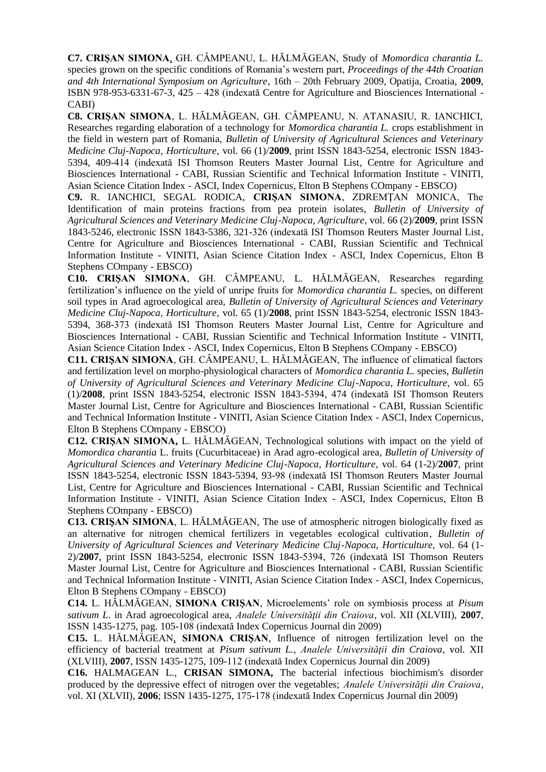**C7. CRIŞAN SIMONA**, GH. CÂMPEANU, L. HĂLMĂGEAN, Study of *Momordica charantia L.*  species grown on the specific conditions of Romania's western part, *Proceedings of the 44th Croatian and 4th International Symposium on Agriculture*, 16th – 20th February 2009, Opatija, Croatia, **2009**, ISBN 978-953-6331-67-3, 425 – 428 (indexată [Centre for Agriculture and Biosciences International -](http://www.cabi.org/default.aspx?page=1016&site=170&pid=125&xslttab=2&newtitlesonly=0&search=cluj) [CABI\)](http://www.cabi.org/default.aspx?page=1016&site=170&pid=125&xslttab=2&newtitlesonly=0&search=cluj)

**C8. CRIŞAN SIMONA**, L. HĂLMĂGEAN, GH. CÂMPEANU, N. ATANASIU, R. IANCHICI, Researches regarding elaboration of a technology for *Momordica charantia L.* crops establishment in the field in western part of Romania, *Bulletin of University of Agricultural Sciences and Veterinary Medicine Cluj-Napoca, Horticulture*, vol. 66 (1)/**2009**, print ISSN 1843-5254, electronic ISSN 1843- 5394, 409-414 (indexată [ISI Thomson Reuters Master Journal List,](http://scientific.thomsonreuters.com/cgi-bin/jrnlst/jlresults.cgi?PC=MASTER&Full=BULLETIN%20OF%20UNIVERSITY%20OF%20AGRICULTURAL%20SCIENCES%20AND%20VETERINARY%20MEDICINE%20CLUJ-NAPOCA%20HORTICULTURE) [Centre for Agriculture and](http://www.cabi.org/default.aspx?page=1016&site=170&pid=125&xslttab=2&newtitlesonly=0&search=cluj)  Biosciences International - [CABI, Russian Scientific and Technical Information Institute -](http://www.cabi.org/default.aspx?page=1016&site=170&pid=125&xslttab=2&newtitlesonly=0&search=cluj) VINITI, [Asian Science Citation Index -](http://scialert.net/asci/publisher.php?searchby=journalname&selectedvalue=Bulletin+of+UASVM+Horticulture+&journalsearch=Search) ASCI, [Index Copernicus,](http://journals.indexcopernicus.com/karta.php?action=masterlist&id=3690) [Elton B Stephens COmpany -](http://www.ebscohost.com/) EBSCO)

**C9.** R. IANCHICI, SEGAL RODICA, **CRIŞAN SIMONA**, ZDREMŢAN MONICA, The Identification of main proteins fractions from pea protein isolates, *Bulletin of University of Agricultural Sciences and Veterinary Medicine Cluj-Napoca, Agriculture*, vol. 66 (2)/**2009**, print ISSN 1843-5246, electronic ISSN 1843-5386, 321-326 (indexată [ISI Thomson Reuters Master Journal List,](http://scientific.thomsonreuters.com/cgi-bin/jrnlst/jlresults.cgi?PC=MASTER&Full=BULLETIN%20OF%20UNIVERSITY%20OF%20AGRICULTURAL%20SCIENCES%20AND%20VETERINARY%20MEDICINE%20CLUJ-NAPOCA%20HORTICULTURE) [Centre for Agriculture and Biosciences International -](http://www.cabi.org/default.aspx?page=1016&site=170&pid=125&xslttab=2&newtitlesonly=0&search=cluj) CABI, [Russian Scientific and Technical](http://www.cabi.org/default.aspx?page=1016&site=170&pid=125&xslttab=2&newtitlesonly=0&search=cluj)  [Information Institute -](http://www.cabi.org/default.aspx?page=1016&site=170&pid=125&xslttab=2&newtitlesonly=0&search=cluj) VINITI, [Asian Science Citation Index -](http://scialert.net/asci/publisher.php?searchby=journalname&selectedvalue=Bulletin+of+UASVM+Horticulture+&journalsearch=Search) ASCI, [Index Copernicus,](http://journals.indexcopernicus.com/karta.php?action=masterlist&id=3690) [Elton B](http://www.ebscohost.com/)  [Stephens COmpany -](http://www.ebscohost.com/) EBSCO)

**C10. CRIŞAN SIMONA**, GH. CÂMPEANU, L. HĂLMĂGEAN, Researches regarding fertilization's influence on the yield of unripe fruits for *Momordica charantia L.* species, on different soil types in Arad agroecological area, *Bulletin of University of Agricultural Sciences and Veterinary Medicine Cluj-Napoca, Horticulture*, vol. 65 (1)/**2008**, print ISSN 1843-5254, electronic ISSN 1843- 5394, 368-373 (indexată [ISI Thomson Reuters Master Journal List,](http://scientific.thomsonreuters.com/cgi-bin/jrnlst/jlresults.cgi?PC=MASTER&Full=BULLETIN%20OF%20UNIVERSITY%20OF%20AGRICULTURAL%20SCIENCES%20AND%20VETERINARY%20MEDICINE%20CLUJ-NAPOCA%20HORTICULTURE) Centre [for Agriculture and](http://www.cabi.org/default.aspx?page=1016&site=170&pid=125&xslttab=2&newtitlesonly=0&search=cluj)  Biosciences International - [CABI, Russian Scientific and Technical Information Institute -](http://www.cabi.org/default.aspx?page=1016&site=170&pid=125&xslttab=2&newtitlesonly=0&search=cluj) VINITI, [Asian Science Citation Index -](http://scialert.net/asci/publisher.php?searchby=journalname&selectedvalue=Bulletin+of+UASVM+Horticulture+&journalsearch=Search) ASCI, [Index Copernicus,](http://journals.indexcopernicus.com/karta.php?action=masterlist&id=3690) [Elton B Stephens COmpany -](http://www.ebscohost.com/) EBSCO)

**C11. CRIŞAN SIMONA**, GH. CÂMPEANU, L. HĂLMĂGEAN, The influence of climatical factors and fertilization level on morpho-physiological characters of *Momordica charantia L.* species, *Bulletin of University of Agricultural Sciences and Veterinary Medicine Cluj-Napoca, Horticulture*, vol. 65 (1)/**2008**, print ISSN 1843-5254, electronic ISSN 1843-5394, 474 (indexată [ISI Thomson Reuters](http://scientific.thomsonreuters.com/cgi-bin/jrnlst/jlresults.cgi?PC=MASTER&Full=BULLETIN%20OF%20UNIVERSITY%20OF%20AGRICULTURAL%20SCIENCES%20AND%20VETERINARY%20MEDICINE%20CLUJ-NAPOCA%20HORTICULTURE)  [Master Journal List,](http://scientific.thomsonreuters.com/cgi-bin/jrnlst/jlresults.cgi?PC=MASTER&Full=BULLETIN%20OF%20UNIVERSITY%20OF%20AGRICULTURAL%20SCIENCES%20AND%20VETERINARY%20MEDICINE%20CLUJ-NAPOCA%20HORTICULTURE) [Centre for Agriculture and Biosciences International -](http://www.cabi.org/default.aspx?page=1016&site=170&pid=125&xslttab=2&newtitlesonly=0&search=cluj) CABI, [Russian Scientific](http://www.cabi.org/default.aspx?page=1016&site=170&pid=125&xslttab=2&newtitlesonly=0&search=cluj)  [and Technical Information Institute -](http://www.cabi.org/default.aspx?page=1016&site=170&pid=125&xslttab=2&newtitlesonly=0&search=cluj) VINITI, [Asian Science Citation Index -](http://scialert.net/asci/publisher.php?searchby=journalname&selectedvalue=Bulletin+of+UASVM+Horticulture+&journalsearch=Search) ASCI, [Index Copernicus,](http://journals.indexcopernicus.com/karta.php?action=masterlist&id=3690) [Elton B Stephens COmpany -](http://www.ebscohost.com/) EBSCO)

**C12. CRIŞAN SIMONA,** L. HĂLMĂGEAN, Technological solutions with impact on the yield of *Momordica charantia* L. fruits (Cucurbitaceae) in Arad agro-ecological area, *Bulletin of University of Agricultural Sciences and Veterinary Medicine Cluj-Napoca, Horticulture*, vol. 64 (1-2)/**2007**, print ISSN 1843-5254, electronic ISSN 1843-5394, 93-98 (indexată [ISI Thomson Reuters Master Journal](http://scientific.thomsonreuters.com/cgi-bin/jrnlst/jlresults.cgi?PC=MASTER&Full=BULLETIN%20OF%20UNIVERSITY%20OF%20AGRICULTURAL%20SCIENCES%20AND%20VETERINARY%20MEDICINE%20CLUJ-NAPOCA%20HORTICULTURE)  [List,](http://scientific.thomsonreuters.com/cgi-bin/jrnlst/jlresults.cgi?PC=MASTER&Full=BULLETIN%20OF%20UNIVERSITY%20OF%20AGRICULTURAL%20SCIENCES%20AND%20VETERINARY%20MEDICINE%20CLUJ-NAPOCA%20HORTICULTURE) [Centre for Agriculture and Biosciences International -](http://www.cabi.org/default.aspx?page=1016&site=170&pid=125&xslttab=2&newtitlesonly=0&search=cluj) CABI, [Russian Scientific and Technical](http://www.cabi.org/default.aspx?page=1016&site=170&pid=125&xslttab=2&newtitlesonly=0&search=cluj)  [Information Institute -](http://www.cabi.org/default.aspx?page=1016&site=170&pid=125&xslttab=2&newtitlesonly=0&search=cluj) VINITI, [Asian Science Citation Index -](http://scialert.net/asci/publisher.php?searchby=journalname&selectedvalue=Bulletin+of+UASVM+Horticulture+&journalsearch=Search) ASCI, [Index Copernicus,](http://journals.indexcopernicus.com/karta.php?action=masterlist&id=3690) [Elton B](http://www.ebscohost.com/)  [Stephens COmpany -](http://www.ebscohost.com/) EBSCO)

**C13. CRIŞAN SIMONA**, L. HĂLMĂGEAN, The use of atmospheric nitrogen biologically fixed as an alternative for nitrogen chemical fertilizers in vegetables ecological cultivation, *Bulletin of University of Agricultural Sciences and Veterinary Medicine Cluj-Napoca, Horticulture,* vol. 64 (1- 2)/**2007**, print ISSN 1843-5254, electronic ISSN 1843-5394, 726 (indexată [ISI Thomson Reuters](http://scientific.thomsonreuters.com/cgi-bin/jrnlst/jlresults.cgi?PC=MASTER&Full=BULLETIN%20OF%20UNIVERSITY%20OF%20AGRICULTURAL%20SCIENCES%20AND%20VETERINARY%20MEDICINE%20CLUJ-NAPOCA%20HORTICULTURE)  [Master Journal List,](http://scientific.thomsonreuters.com/cgi-bin/jrnlst/jlresults.cgi?PC=MASTER&Full=BULLETIN%20OF%20UNIVERSITY%20OF%20AGRICULTURAL%20SCIENCES%20AND%20VETERINARY%20MEDICINE%20CLUJ-NAPOCA%20HORTICULTURE) [Centre for Agriculture and Biosciences International -](http://www.cabi.org/default.aspx?page=1016&site=170&pid=125&xslttab=2&newtitlesonly=0&search=cluj) CABI, [Russian Scientific](http://www.cabi.org/default.aspx?page=1016&site=170&pid=125&xslttab=2&newtitlesonly=0&search=cluj)  [and Technical Information Institute -](http://www.cabi.org/default.aspx?page=1016&site=170&pid=125&xslttab=2&newtitlesonly=0&search=cluj) VINITI, [Asian Science Citation Index -](http://scialert.net/asci/publisher.php?searchby=journalname&selectedvalue=Bulletin+of+UASVM+Horticulture+&journalsearch=Search) ASCI, [Index Copernicus,](http://journals.indexcopernicus.com/karta.php?action=masterlist&id=3690) [Elton B Stephens COmpany -](http://www.ebscohost.com/) EBSCO)

**C14.** L. HĂLMĂGEAN, **SIMONA CRIŞAN**, Microelements' role on symbiosis process at *Pisum sativum L*. in Arad agroecological area, *Analele Universităţii din Craiova*, vol. XII (XLVIII), **2007**, ISSN 1435-1275, pag. 105-108 (indexată [Index Copernicus](http://journals.indexcopernicus.com/karta.php?action=masterlist&id=3690) Journal din 2009)

**C15.** L. HĂLMĂGEAN, **SIMONA CRIŞAN**, Influence of nitrogen fertilization level on the efficiency of bacterial treatment at *Pisum sativum L.*, *Analele Universităţii din Craiova*, vol. XII (XLVIII), **2007**, ISSN 1435-1275, 109-112 (indexată [Index Copernicus](http://journals.indexcopernicus.com/karta.php?action=masterlist&id=3690) Journal din 2009)

**C16.** HALMAGEAN L., **CRISAN SIMONA,** The bacterial infectious biochimism's disorder produced by the depressive effect of nitrogen over the vegetables; *Analele Universității din Craiova*, vol. XI (XLVII), **2006**; ISSN 1435-1275, 175-178 (indexată [Index Copernicus](http://journals.indexcopernicus.com/karta.php?action=masterlist&id=3690) Journal din 2009)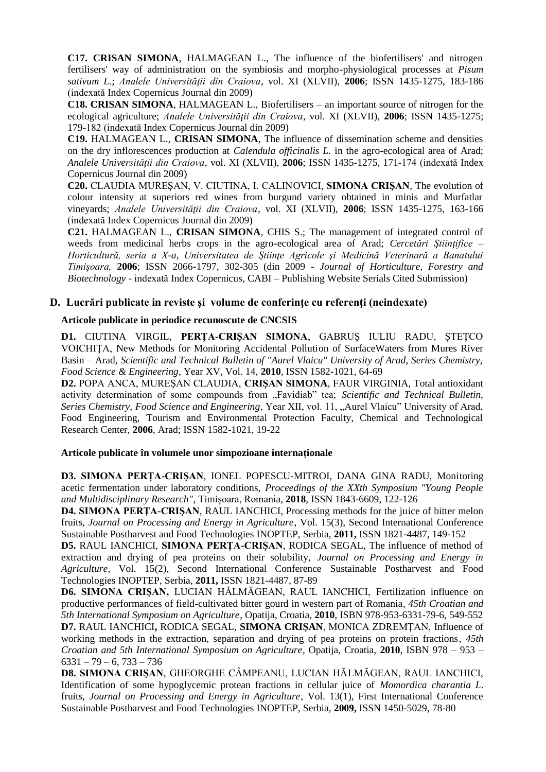**C17. CRISAN SIMONA**, HALMAGEAN L., The influence of the biofertilisers' and nitrogen fertilisers' way of administration on the symbiosis and morpho-physiological processes at *Pisum sativum L.*; *Analele Universităţii din Craiova*, vol. XI (XLVII), **2006**; ISSN 1435-1275, 183-186 (indexată [Index Copernicus](http://journals.indexcopernicus.com/karta.php?action=masterlist&id=3690) Journal din 2009)

**C18. CRISAN SIMONA**, HALMAGEAN L., Biofertilisers – an important source of nitrogen for the ecological agriculture; *Analele Universităţii din Craiova*, vol. XI (XLVII), **2006**; ISSN 1435-1275; 179-182 (indexată [Index Copernicus](http://journals.indexcopernicus.com/karta.php?action=masterlist&id=3690) Journal din 2009)

**C19.** HALMAGEAN L., **CRISAN SIMONA**, The influence of dissemination scheme and densities on the dry inflorescences production at *Calendula officinalis L.* in the agro-ecological area of Arad; *Analele Universităţii din Craiova*, vol. XI (XLVII), **2006**; ISSN 1435-1275, 171-174 (indexată [Index](http://journals.indexcopernicus.com/karta.php?action=masterlist&id=3690)  [Copernicus](http://journals.indexcopernicus.com/karta.php?action=masterlist&id=3690) Journal din 2009)

**C20.** CLAUDIA MUREŞAN, V. CIUTINA, I. CALINOVICI, **SIMONA CRIŞAN**, The evolution of colour intensity at superiors red wines from burgund variety obtained in minis and Murfatlar vineyards; *Analele Universităţii din Craiova*, vol. XI (XLVII), **2006**; ISSN 1435-1275, 163-166 (indexată [Index Copernicus](http://journals.indexcopernicus.com/karta.php?action=masterlist&id=3690) Journal din 2009)

**C21.** HALMAGEAN L., **CRISAN SIMONA**, CHIS S.; The management of integrated control of weeds from medicinal herbs crops in the agro-ecological area of Arad; *Cercetări Ştiinţifice – Horticultură, seria a X-a*, *Universitatea de Ştiinţe Agricole şi Medicină Veterinară a Banatului Timişoara,* **2006**; ISSN 2066-1797, 302-305 (din 2009 - *Journal of Horticulture, Forestry and Biotechnology* - indexată [Index Copernicus,](http://journals.indexcopernicus.com/karta.php?action=masterlist&id=3690) CABI – [Publishing Website Serials Cited Submission](http://www.cabi.org/default.aspx?page=1016&site=170&pid=38&xslttab=2&newtitlesonly=0&letter=J))

### **D. Lucrări publicate in reviste şi volume de conferinţe cu referenţi (neindexate)**

#### **Articole publicate in periodice recunoscute de CNCSIS**

**D1.** CIUTINA VIRGIL, **PERŢA-CRIŞAN SIMONA**, GABRUŞ IULIU RADU, ŞTEŢCO VOICHIŢA, New Methods for Monitoring Accidental Pollution of SurfaceWaters from Mures River Basin – Arad, *Scientific and Technical Bulletin of "Aurel Vlaicu" University of Arad, Series Chemistry, Food Science & Engineering*, Year XV, Vol. 14, **2010**, ISSN 1582-1021, 64-69

**D2.** POPA ANCA, MUREŞAN CLAUDIA, **CRIŞAN SIMONA**, FAUR VIRGINIA, Total antioxidant activity determination of some compounds from "Favidiab" tea; *Scientific and Technical Bulletin*, *Series Chemistry, Food Science and Engineering*, Year XII, vol. 11, "Aurel Vlaicu" University of Arad, Food Engineering, Tourism and Environmental Protection Faculty, Chemical and Technological Research Center, **2006**, Arad; ISSN 1582-1021, 19-22

#### **Articole publicate în volumele unor simpozioane internaționale**

**D3. SIMONA PERȚA-CRIȘAN**, IONEL POPESCU-MITROI, DANA GINA RADU, Monitoring acetic fermentation under laboratory conditions, *Proceedings of the XXth Symposium "Young People and Multidisciplinary Research"*, Timișoara, Romania, **2018**, ISSN 1843-6609, 122-126

**D4. SIMONA PERŢA-CRIŞAN**, RAUL IANCHICI, Processing methods for the juice of bitter melon fruits, *Journal on Processing and Energy in Agriculture*, Vol. 15(3), Second International Conference Sustainable Postharvest and Food Technologies INOPTEP, Serbia, **2011,** ISSN 1821-4487, 149-152

**D5.** RAUL IANCHICI, **SIMONA PERŢA-CRIŞAN**, RODICA SEGAL, The influence of method of extraction and drying of pea proteins on their solubility, *Journal on Processing and Energy in Agriculture*, Vol. 15(2), Second International Conference Sustainable Postharvest and Food Technologies INOPTEP, Serbia, **2011,** ISSN 1821-4487, 87-89

**D6. SIMONA CRIŞAN,** LUCIAN HĂLMĂGEAN, RAUL IANCHICI, Fertilization influence on productive performances of field-cultivated bitter gourd in western part of Romania, *45th Croatian and 5th International Symposium on Agriculture*, Opatija, Croatia, **2010**, ISBN 978-953-6331-79-6, 549-552 **D7.** RAUL IANCHICI**,** RODICA SEGAL, **SIMONA CRIŞAN**, MONICA ZDREMŢAN, Influence of working methods in the extraction, separation and drying of pea proteins on protein fractions, *45th Croatian and 5th International Symposium on Agriculture*, Opatija, Croatia, **2010**, ISBN 978 – 953 –  $6331 - 79 - 6, 733 - 736$ 

**D8. SIMONA CRIŞAN**, GHEORGHE CÂMPEANU, LUCIAN HĂLMĂGEAN, RAUL IANCHICI, Identification of some hypoglycemic protean fractions in cellular juice of *Momordica charantia L*. fruits, *Journal on Processing and Energy in Agriculture*, Vol. 13(1), First International Conference Sustainable Postharvest and Food Technologies INOPTEP, Serbia, **2009,** ISSN 1450-5029, 78-80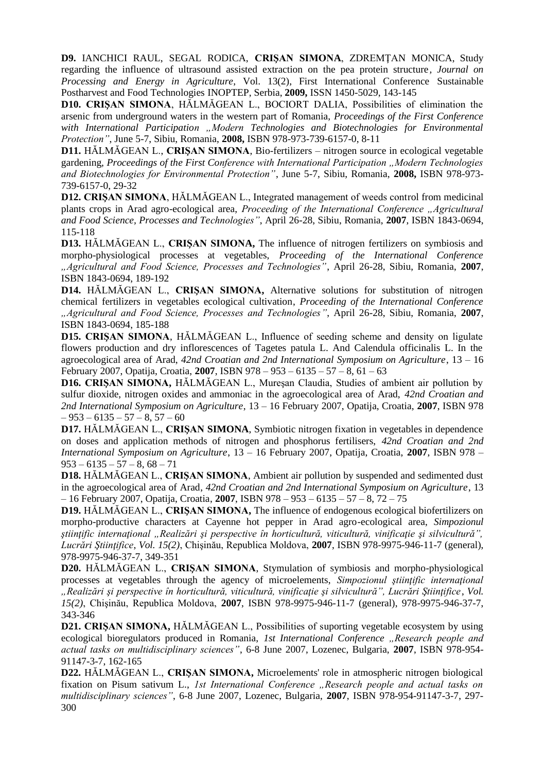**D9.** IANCHICI RAUL, SEGAL RODICA, **CRIŞAN SIMONA**, ZDREMŢAN MONICA, Study regarding the influence of ultrasound assisted extraction on the pea protein structure*, Journal on Processing and Energy in Agriculture*, Vol. 13(2), First International Conference Sustainable Postharvest and Food Technologies INOPTEP, Serbia, **2009,** ISSN 1450-5029, 143-145

**D10. CRIŞAN SIMONA**, HĂLMĂGEAN L., BOCIORT DALIA, Possibilities of elimination the arsenic from underground waters in the western part of Romania, *Proceedings of the First Conference with International Participation "Modern Technologies and Biotechnologies for Environmental Protection"*, June 5-7, Sibiu, Romania, **2008,** ISBN 978-973-739-6157-0, 8-11

**D11.** HĂLMĂGEAN L., **CRIŞAN SIMONA**, Bio-fertilizers – nitrogen source in ecological vegetable gardening, *Proceedings of the First Conference with International Participation "Modern Technologies and Biotechnologies for Environmental Protection"*, June 5-7, Sibiu, Romania, **2008,** ISBN 978-973- 739-6157-0, 29-32

**D12. CRIŞAN SIMONA**, HĂLMĂGEAN L., Integrated management of weeds control from medicinal plants crops in Arad agro-ecological area, *Proceeding of the International Conference "Agricultural and Food Science, Processes and Technologies"*, April 26-28, Sibiu, Romania, **2007**, ISBN 1843-0694, 115-118

**D13.** HĂLMĂGEAN L., **CRIŞAN SIMONA,** The influence of nitrogen fertilizers on symbiosis and morpho-physiological processes at vegetables, *Proceeding of the International Conference "Agricultural and Food Science, Processes and Technologies"*, April 26-28, Sibiu, Romania, **2007**, ISBN 1843-0694, 189-192

**D14.** HĂLMĂGEAN L., **CRIŞAN SIMONA,** Alternative solutions for substitution of nitrogen chemical fertilizers in vegetables ecological cultivation, *Proceeding of the International Conference "Agricultural and Food Science, Processes and Technologies"*, April 26-28, Sibiu, Romania, **2007**, ISBN 1843-0694, 185-188

**D15. CRISAN SIMONA, HALMAGEAN L., Influence of seeding scheme and density on ligulate** flowers production and dry inflorescences of Tagetes patula L. And Calendula officinalis L. In the agroecological area of Arad, *42nd Croatian and 2nd International Symposium on Agriculture*, 13 – 16 February 2007, Opatija, Croatia, **2007**, ISBN 978 – 953 – 6135 – 57 – 8, 61 – 63

**D16. CRIŞAN SIMONA,** HĂLMĂGEAN L., Mureşan Claudia, Studies of ambient air pollution by sulfur dioxide, nitrogen oxides and ammoniac in the agroecological area of Arad, *42nd Croatian and 2nd International Symposium on Agriculture*, 13 – 16 February 2007, Opatija, Croatia, **2007**, ISBN 978  $-953 - 6135 - 57 - 8$ , 57 – 60

**D17.** HĂLMĂGEAN L., **CRIŞAN SIMONA**, Symbiotic nitrogen fixation in vegetables in dependence on doses and application methods of nitrogen and phosphorus fertilisers, *42nd Croatian and 2nd International Symposium on Agriculture*, 13 – 16 February 2007, Opatija, Croatia, **2007**, ISBN 978 –  $953 - 6135 - 57 - 8$ ,  $68 - 71$ 

**D18.** HĂLMĂGEAN L., **CRIŞAN SIMONA**, Ambient air pollution by suspended and sedimented dust in the agroecological area of Arad, *42nd Croatian and 2nd International Symposium on Agriculture*, 13 – 16 February 2007, Opatija, Croatia, **2007**, ISBN 978 – 953 – 6135 – 57 – 8, 72 – 75

**D19.** HĂLMĂGEAN L., **CRIŞAN SIMONA,** The influence of endogenous ecological biofertilizers on morpho-productive characters at Cayenne hot pepper in Arad agro-ecological area, *Simpozionul ştiinţific internaţional "Realizări şi perspective în horticultură, viticultură, vinificaţie şi silvicultură", Lucrări Ştiinţifice*, *Vol. 15(2)*, Chişinău, Republica Moldova, **2007**, ISBN 978-9975-946-11-7 (general), 978-9975-946-37-7, 349-351

**D20.** HĂLMĂGEAN L., **CRIŞAN SIMONA**, Stymulation of symbiosis and morpho-physiological processes at vegetables through the agency of microelements, *Simpozionul ştiinţific internaţional "Realizări şi perspective în horticultură, viticultură, vinificaţie şi silvicultură", Lucrări Ştiinţifice*, *Vol. 15(2)*, Chişinău, Republica Moldova, **2007**, ISBN 978-9975-946-11-7 (general), 978-9975-946-37-7, 343-346

**D21. CRIŞAN SIMONA, HĂLMĂGEAN L., Possibilities of suporting vegetable ecosystem by using** ecological bioregulators produced in Romania, *1st International Conference "Research people and actual tasks on multidisciplinary sciences"*, 6-8 June 2007, Lozenec, Bulgaria, **2007**, ISBN 978-954- 91147-3-7, 162-165

**D22.** HĂLMĂGEAN L., **CRIŞAN SIMONA,** Microelements' role in atmospheric nitrogen biological fixation on Pisum sativum L., *1st International Conference "Research people and actual tasks on multidisciplinary sciences"*, 6-8 June 2007, Lozenec, Bulgaria, **2007**, ISBN 978-954-91147-3-7, 297- 300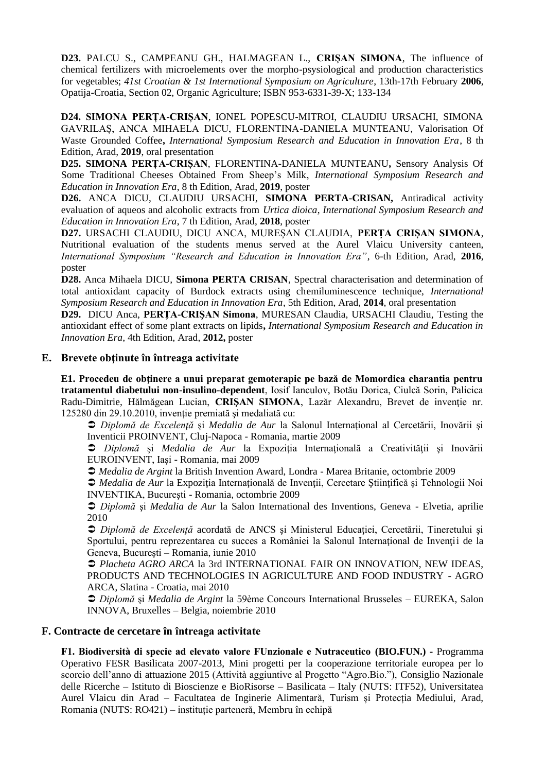**D23.** PALCU S., CAMPEANU GH., HALMAGEAN L., **CRIŞAN SIMONA**, The influence of chemical fertilizers with microelements over the morpho-psysiological and production characteristics for vegetables; *41st Croatian & 1st International Symposium on Agriculture*, 13th-17th February **2006**, Opatija-Croatia, Section 02, Organic Agriculture; ISBN 953-6331-39-X; 133-134

**D24. SIMONA PERȚA-CRIȘAN**, IONEL POPESCU-MITROI, CLAUDIU URSACHI, SIMONA GAVRILAȘ, ANCA MIHAELA DICU, FLORENTINA-DANIELA MUNTEANU, Valorisation Of Waste Grounded Coffee**,** *International Symposium Research and Education in Innovation Era*, 8 th Edition, Arad, **2019**, oral presentation

**D25. SIMONA PERȚA-CRIȘAN**, FLORENTINA-DANIELA MUNTEANU**,** Sensory Analysis Of Some Traditional Cheeses Obtained From Sheep's Milk, *International Symposium Research and Education in Innovation Era*, 8 th Edition, Arad, **2019**, poster

**D26.** ANCA DICU, CLAUDIU URSACHI, **SIMONA PERTA-CRISAN,** Antiradical activity evaluation of aqueos and alcoholic extracts from *Urtica dioica*, *International Symposium Research and Education in Innovation Era*, 7 th Edition, Arad, **2018**, poster

**D27.** URSACHI CLAUDIU, DICU ANCA, MUREȘAN CLAUDIA, **PERȚA CRIȘAN SIMONA**, Nutritional evaluation of the students menus served at the Aurel Vlaicu University canteen, *International Symposium "Research and Education in Innovation Era"*, 6-th Edition, Arad, **2016**, poster

**D28.** Anca Mihaela DICU, **Simona PERTA CRISAN**, Spectral characterisation and determination of total antioxidant capacity of Burdock extracts using chemiluminescence technique, *International Symposium Research and Education in Innovation Era*, 5th Edition, Arad, **2014**, oral presentation

**D29.** DICU Anca, **PERŢA-CRIŞAN Simona**, MURESAN Claudia, URSACHI Claudiu, Testing the antioxidant effect of some plant extracts on lipids**,** *International Symposium Research and Education in Innovation Era*, 4th Edition, Arad, **2012,** poster

### **E. Brevete obţinute în întreaga activitate**

**E1. Procedeu de obţinere a unui preparat gemoterapic pe bază de Momordica charantia pentru tratamentul diabetului non-insulino-dependent**, Iosif Ianculov, Botău Dorica, Ciulcă Sorin, Palicica Radu-Dimitrie, Hălmăgean Lucian, CRISAN SIMONA, Lazăr Alexandru, Brevet de inventie nr. 125280 din 29.10.2010, invenţie premiată şi medaliată cu:

 *Diplomă de Excelenţă* şi *Medalia de Aur* la Salonul Internaţional al Cercetării, Inovării şi Inventicii PROINVENT, Cluj-Napoca - Romania, martie 2009

*Diplomă* și *Medalia de Aur* la Expoziția Internațională a Creativității și Inovării EUROINVENT, Iaşi - Romania, mai 2009

*Medalia de Argint* la British Invention Award, Londra - Marea Britanie, octombrie 2009

 *Medalia de Aur* la Expoziţia Internaţională de Invenţii, Cercetare Ştiinţifică şi Tehnologii Noi INVENTIKA, Bucureşti - Romania, octombrie 2009

 *Diplomă* şi *Medalia de Aur* la Salon International des Inventions, Geneva - Elvetia, aprilie 2010

 *Diplomă de Excelenţă* acordată de ANCS şi Ministerul Educaţiei, Cercetării, Tineretului şi Sportului, pentru reprezentarea cu succes a României la Salonul Internațional de Invenții de la Geneva, Bucureşti – Romania, iunie 2010

 *Placheta AGRO ARCA* la 3rd INTERNATIONAL FAIR ON INNOVATION, NEW IDEAS, PRODUCTS AND TECHNOLOGIES IN AGRICULTURE AND FOOD INDUSTRY - AGRO ARCA, Slatina - Croatia, mai 2010

 *Diplomă* şi *Medalia de Argint* la 59ème Concours International Brusseles – EUREKA, Salon INNOVA, Bruxelles – Belgia, noiembrie 2010

### **F. Contracte de cercetare în întreaga activitate**

**F1. Biodiversità di specie ad elevato valore FUnzionale e Nutraceutico (BIO.FUN.) -** Programma Operativo FESR Basilicata 2007-2013, Mini progetti per la cooperazione territoriale europea per lo scorcio dell'anno di attuazione 2015 (Attività aggiuntive al Progetto "Agro.Bio."), Consiglio Nazionale delle Ricerche – Istituto di Bioscienze e BioRisorse – Basilicata – Italy (NUTS: ITF52), Universitatea Aurel Vlaicu din Arad – Facultatea de Inginerie Alimentară, Turism și Protecția Mediului, Arad, Romania (NUTS: RO421) – instituție parteneră, Membru în echipă